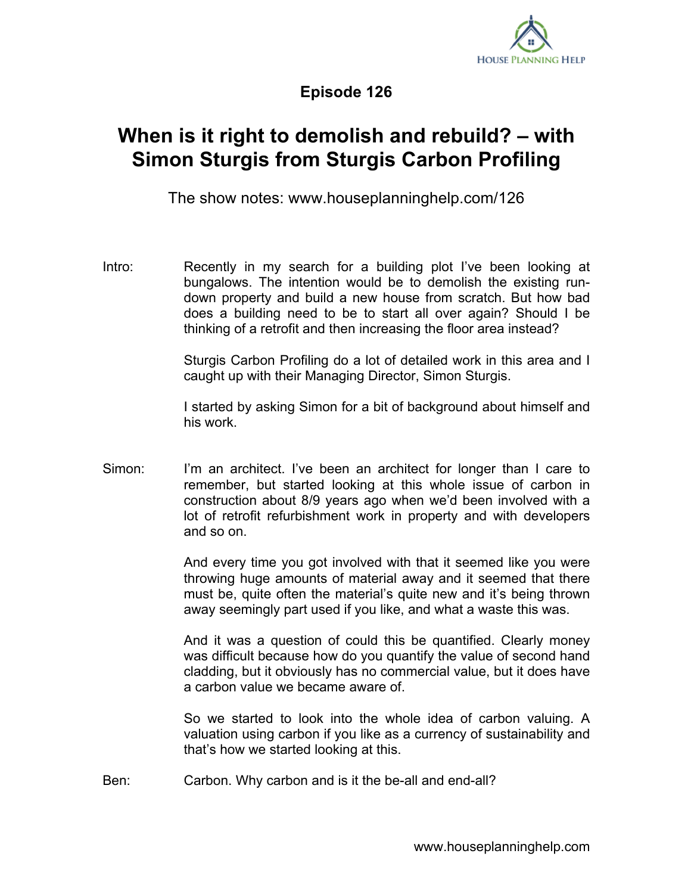

**Episode 126**

## **When is it right to demolish and rebuild? – with Simon Sturgis from Sturgis Carbon Profiling**

The show notes: www.houseplanninghelp.com/126

Intro: Recently in my search for a building plot I've been looking at bungalows. The intention would be to demolish the existing rundown property and build a new house from scratch. But how bad does a building need to be to start all over again? Should I be thinking of a retrofit and then increasing the floor area instead?

> Sturgis Carbon Profiling do a lot of detailed work in this area and I caught up with their Managing Director, Simon Sturgis.

> I started by asking Simon for a bit of background about himself and his work.

Simon: I'm an architect. I've been an architect for longer than I care to remember, but started looking at this whole issue of carbon in construction about 8/9 years ago when we'd been involved with a lot of retrofit refurbishment work in property and with developers and so on.

> And every time you got involved with that it seemed like you were throwing huge amounts of material away and it seemed that there must be, quite often the material's quite new and it's being thrown away seemingly part used if you like, and what a waste this was.

> And it was a question of could this be quantified. Clearly money was difficult because how do you quantify the value of second hand cladding, but it obviously has no commercial value, but it does have a carbon value we became aware of.

> So we started to look into the whole idea of carbon valuing. A valuation using carbon if you like as a currency of sustainability and that's how we started looking at this.

Ben: Carbon. Why carbon and is it the be-all and end-all?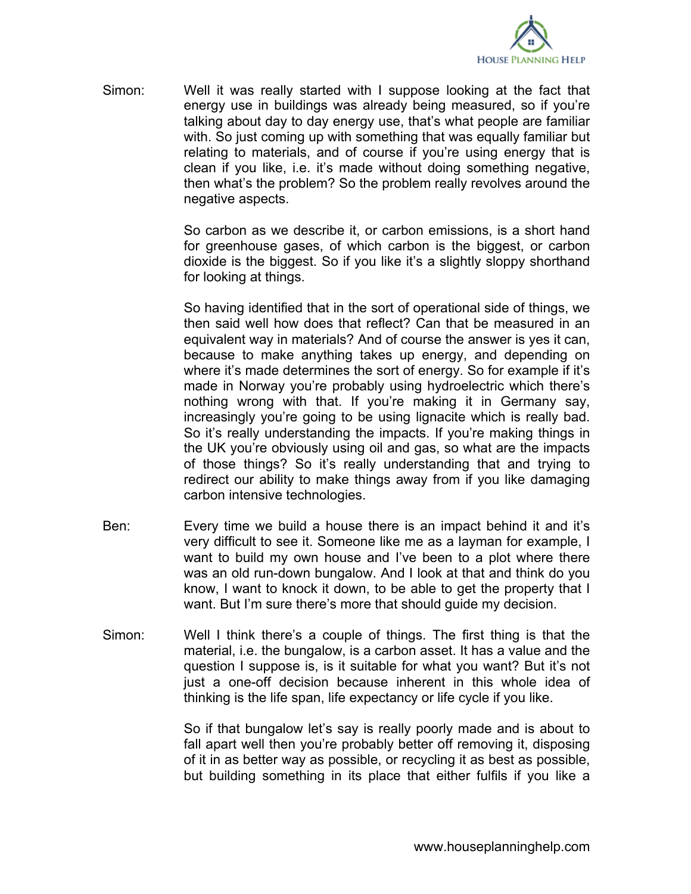

Simon: Well it was really started with I suppose looking at the fact that energy use in buildings was already being measured, so if you're talking about day to day energy use, that's what people are familiar with. So just coming up with something that was equally familiar but relating to materials, and of course if you're using energy that is clean if you like, i.e. it's made without doing something negative, then what's the problem? So the problem really revolves around the negative aspects.

> So carbon as we describe it, or carbon emissions, is a short hand for greenhouse gases, of which carbon is the biggest, or carbon dioxide is the biggest. So if you like it's a slightly sloppy shorthand for looking at things.

> So having identified that in the sort of operational side of things, we then said well how does that reflect? Can that be measured in an equivalent way in materials? And of course the answer is yes it can, because to make anything takes up energy, and depending on where it's made determines the sort of energy. So for example if it's made in Norway you're probably using hydroelectric which there's nothing wrong with that. If you're making it in Germany say, increasingly you're going to be using lignacite which is really bad. So it's really understanding the impacts. If you're making things in the UK you're obviously using oil and gas, so what are the impacts of those things? So it's really understanding that and trying to redirect our ability to make things away from if you like damaging carbon intensive technologies.

- Ben: Every time we build a house there is an impact behind it and it's very difficult to see it. Someone like me as a layman for example, I want to build my own house and I've been to a plot where there was an old run-down bungalow. And I look at that and think do you know, I want to knock it down, to be able to get the property that I want. But I'm sure there's more that should guide my decision.
- Simon: Well I think there's a couple of things. The first thing is that the material, i.e. the bungalow, is a carbon asset. It has a value and the question I suppose is, is it suitable for what you want? But it's not just a one-off decision because inherent in this whole idea of thinking is the life span, life expectancy or life cycle if you like.

So if that bungalow let's say is really poorly made and is about to fall apart well then you're probably better off removing it, disposing of it in as better way as possible, or recycling it as best as possible, but building something in its place that either fulfils if you like a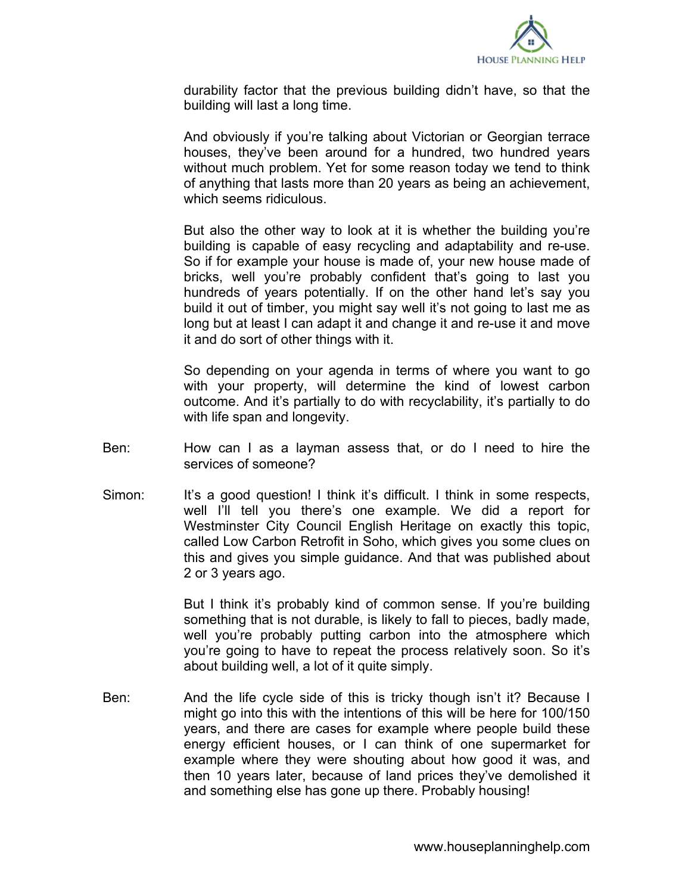

durability factor that the previous building didn't have, so that the building will last a long time.

And obviously if you're talking about Victorian or Georgian terrace houses, they've been around for a hundred, two hundred years without much problem. Yet for some reason today we tend to think of anything that lasts more than 20 years as being an achievement, which seems ridiculous.

But also the other way to look at it is whether the building you're building is capable of easy recycling and adaptability and re-use. So if for example your house is made of, your new house made of bricks, well you're probably confident that's going to last you hundreds of years potentially. If on the other hand let's say you build it out of timber, you might say well it's not going to last me as long but at least I can adapt it and change it and re-use it and move it and do sort of other things with it.

So depending on your agenda in terms of where you want to go with your property, will determine the kind of lowest carbon outcome. And it's partially to do with recyclability, it's partially to do with life span and longevity.

- Ben: How can I as a layman assess that, or do I need to hire the services of someone?
- Simon: It's a good question! I think it's difficult. I think in some respects, well I'll tell you there's one example. We did a report for Westminster City Council English Heritage on exactly this topic, called Low Carbon Retrofit in Soho, which gives you some clues on this and gives you simple guidance. And that was published about 2 or 3 years ago.

But I think it's probably kind of common sense. If you're building something that is not durable, is likely to fall to pieces, badly made, well you're probably putting carbon into the atmosphere which you're going to have to repeat the process relatively soon. So it's about building well, a lot of it quite simply.

Ben: And the life cycle side of this is tricky though isn't it? Because I might go into this with the intentions of this will be here for 100/150 years, and there are cases for example where people build these energy efficient houses, or I can think of one supermarket for example where they were shouting about how good it was, and then 10 years later, because of land prices they've demolished it and something else has gone up there. Probably housing!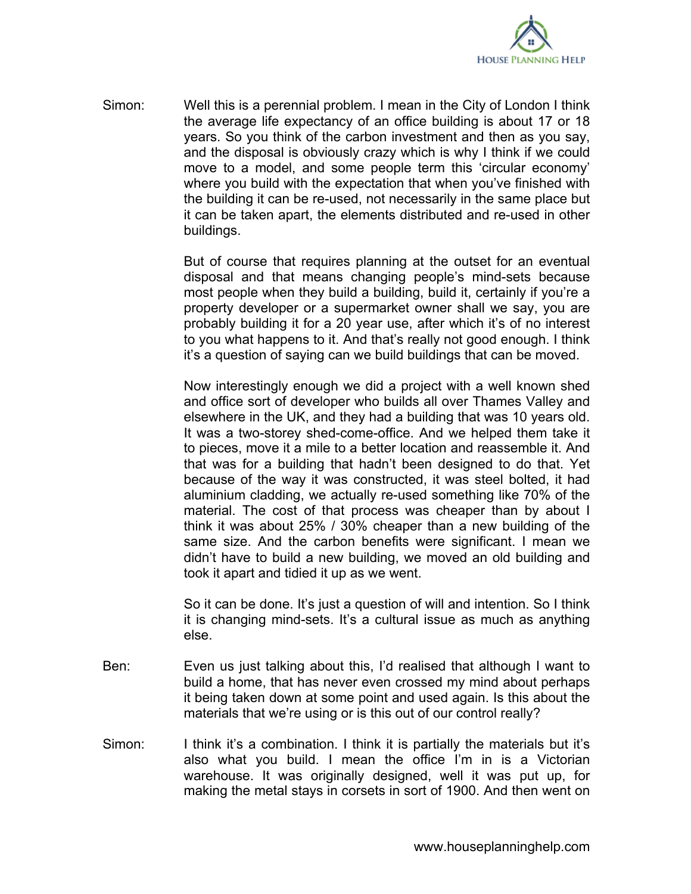

Simon: Well this is a perennial problem. I mean in the City of London I think the average life expectancy of an office building is about 17 or 18 years. So you think of the carbon investment and then as you say, and the disposal is obviously crazy which is why I think if we could move to a model, and some people term this 'circular economy' where you build with the expectation that when you've finished with the building it can be re-used, not necessarily in the same place but it can be taken apart, the elements distributed and re-used in other buildings.

> But of course that requires planning at the outset for an eventual disposal and that means changing people's mind-sets because most people when they build a building, build it, certainly if you're a property developer or a supermarket owner shall we say, you are probably building it for a 20 year use, after which it's of no interest to you what happens to it. And that's really not good enough. I think it's a question of saying can we build buildings that can be moved.

> Now interestingly enough we did a project with a well known shed and office sort of developer who builds all over Thames Valley and elsewhere in the UK, and they had a building that was 10 years old. It was a two-storey shed-come-office. And we helped them take it to pieces, move it a mile to a better location and reassemble it. And that was for a building that hadn't been designed to do that. Yet because of the way it was constructed, it was steel bolted, it had aluminium cladding, we actually re-used something like 70% of the material. The cost of that process was cheaper than by about I think it was about 25% / 30% cheaper than a new building of the same size. And the carbon benefits were significant. I mean we didn't have to build a new building, we moved an old building and took it apart and tidied it up as we went.

> So it can be done. It's just a question of will and intention. So I think it is changing mind-sets. It's a cultural issue as much as anything else.

- Ben: Even us just talking about this, I'd realised that although I want to build a home, that has never even crossed my mind about perhaps it being taken down at some point and used again. Is this about the materials that we're using or is this out of our control really?
- Simon: I think it's a combination. I think it is partially the materials but it's also what you build. I mean the office I'm in is a Victorian warehouse. It was originally designed, well it was put up, for making the metal stays in corsets in sort of 1900. And then went on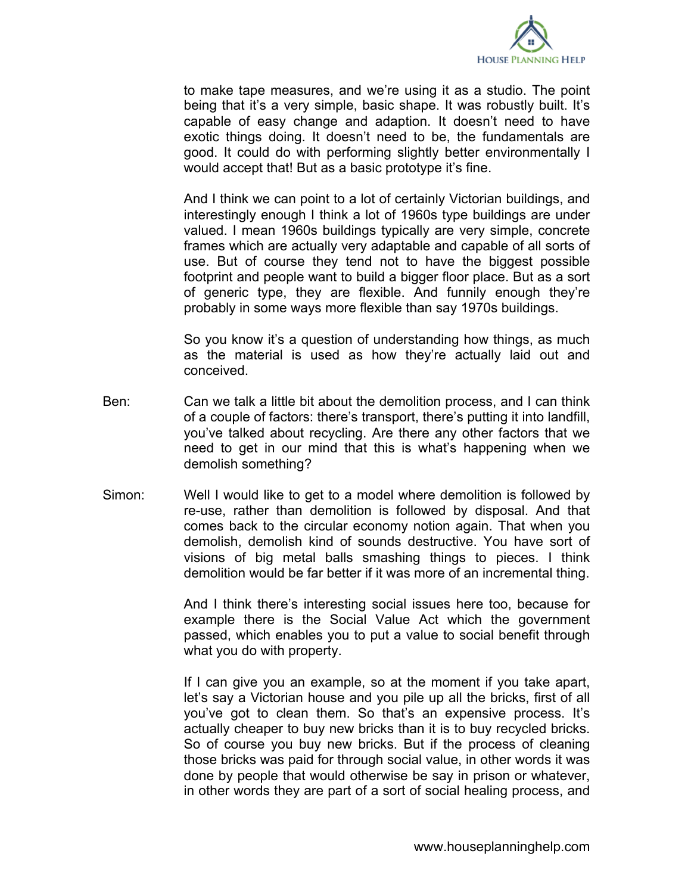

to make tape measures, and we're using it as a studio. The point being that it's a very simple, basic shape. It was robustly built. It's capable of easy change and adaption. It doesn't need to have exotic things doing. It doesn't need to be, the fundamentals are good. It could do with performing slightly better environmentally I would accept that! But as a basic prototype it's fine.

And I think we can point to a lot of certainly Victorian buildings, and interestingly enough I think a lot of 1960s type buildings are under valued. I mean 1960s buildings typically are very simple, concrete frames which are actually very adaptable and capable of all sorts of use. But of course they tend not to have the biggest possible footprint and people want to build a bigger floor place. But as a sort of generic type, they are flexible. And funnily enough they're probably in some ways more flexible than say 1970s buildings.

So you know it's a question of understanding how things, as much as the material is used as how they're actually laid out and conceived.

- Ben: Can we talk a little bit about the demolition process, and I can think of a couple of factors: there's transport, there's putting it into landfill, you've talked about recycling. Are there any other factors that we need to get in our mind that this is what's happening when we demolish something?
- Simon: Well I would like to get to a model where demolition is followed by re-use, rather than demolition is followed by disposal. And that comes back to the circular economy notion again. That when you demolish, demolish kind of sounds destructive. You have sort of visions of big metal balls smashing things to pieces. I think demolition would be far better if it was more of an incremental thing.

And I think there's interesting social issues here too, because for example there is the Social Value Act which the government passed, which enables you to put a value to social benefit through what you do with property.

If I can give you an example, so at the moment if you take apart, let's say a Victorian house and you pile up all the bricks, first of all you've got to clean them. So that's an expensive process. It's actually cheaper to buy new bricks than it is to buy recycled bricks. So of course you buy new bricks. But if the process of cleaning those bricks was paid for through social value, in other words it was done by people that would otherwise be say in prison or whatever, in other words they are part of a sort of social healing process, and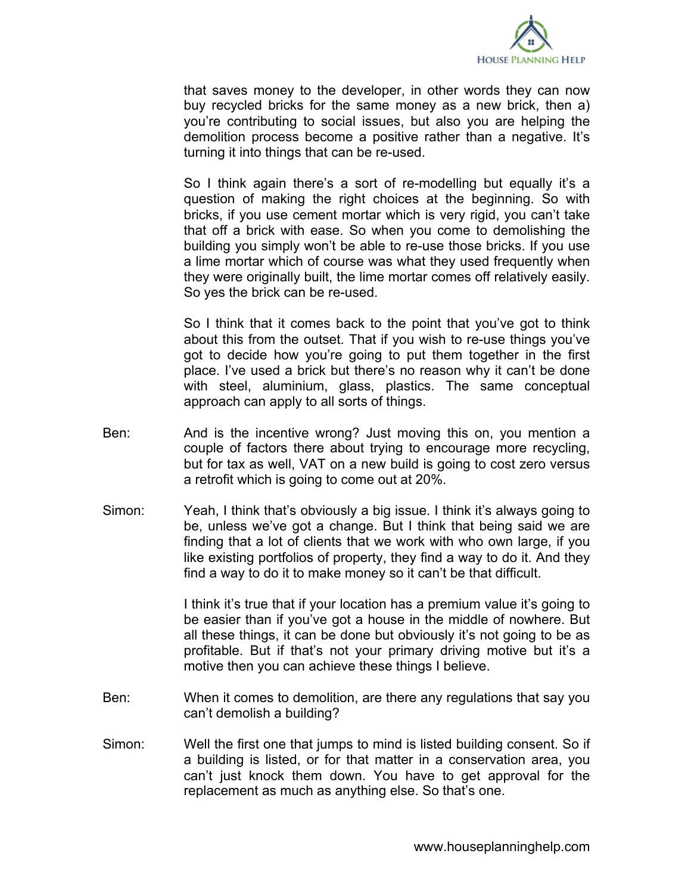

that saves money to the developer, in other words they can now buy recycled bricks for the same money as a new brick, then a) you're contributing to social issues, but also you are helping the demolition process become a positive rather than a negative. It's turning it into things that can be re-used.

So I think again there's a sort of re-modelling but equally it's a question of making the right choices at the beginning. So with bricks, if you use cement mortar which is very rigid, you can't take that off a brick with ease. So when you come to demolishing the building you simply won't be able to re-use those bricks. If you use a lime mortar which of course was what they used frequently when they were originally built, the lime mortar comes off relatively easily. So yes the brick can be re-used.

So I think that it comes back to the point that you've got to think about this from the outset. That if you wish to re-use things you've got to decide how you're going to put them together in the first place. I've used a brick but there's no reason why it can't be done with steel, aluminium, glass, plastics. The same conceptual approach can apply to all sorts of things.

- Ben: And is the incentive wrong? Just moving this on, you mention a couple of factors there about trying to encourage more recycling, but for tax as well, VAT on a new build is going to cost zero versus a retrofit which is going to come out at 20%.
- Simon: Yeah, I think that's obviously a big issue. I think it's always going to be, unless we've got a change. But I think that being said we are finding that a lot of clients that we work with who own large, if you like existing portfolios of property, they find a way to do it. And they find a way to do it to make money so it can't be that difficult.

I think it's true that if your location has a premium value it's going to be easier than if you've got a house in the middle of nowhere. But all these things, it can be done but obviously it's not going to be as profitable. But if that's not your primary driving motive but it's a motive then you can achieve these things I believe.

- Ben: When it comes to demolition, are there any regulations that say you can't demolish a building?
- Simon: Well the first one that jumps to mind is listed building consent. So if a building is listed, or for that matter in a conservation area, you can't just knock them down. You have to get approval for the replacement as much as anything else. So that's one.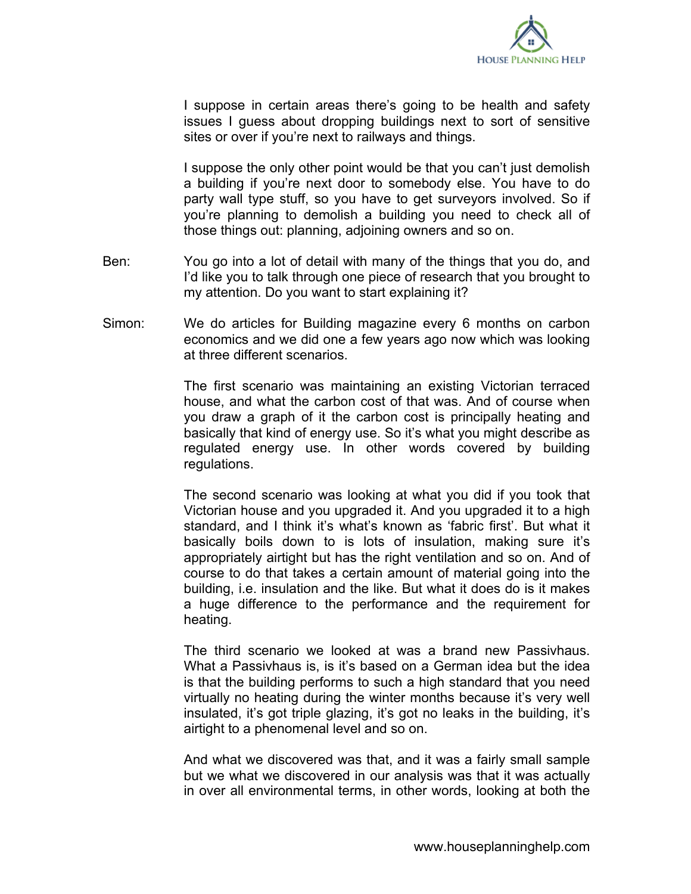

I suppose in certain areas there's going to be health and safety issues I guess about dropping buildings next to sort of sensitive sites or over if you're next to railways and things.

I suppose the only other point would be that you can't just demolish a building if you're next door to somebody else. You have to do party wall type stuff, so you have to get surveyors involved. So if you're planning to demolish a building you need to check all of those things out: planning, adjoining owners and so on.

- Ben: You go into a lot of detail with many of the things that you do, and I'd like you to talk through one piece of research that you brought to my attention. Do you want to start explaining it?
- Simon: We do articles for Building magazine every 6 months on carbon economics and we did one a few years ago now which was looking at three different scenarios.

The first scenario was maintaining an existing Victorian terraced house, and what the carbon cost of that was. And of course when you draw a graph of it the carbon cost is principally heating and basically that kind of energy use. So it's what you might describe as regulated energy use. In other words covered by building regulations.

The second scenario was looking at what you did if you took that Victorian house and you upgraded it. And you upgraded it to a high standard, and I think it's what's known as 'fabric first'. But what it basically boils down to is lots of insulation, making sure it's appropriately airtight but has the right ventilation and so on. And of course to do that takes a certain amount of material going into the building, i.e. insulation and the like. But what it does do is it makes a huge difference to the performance and the requirement for heating.

The third scenario we looked at was a brand new Passivhaus. What a Passivhaus is, is it's based on a German idea but the idea is that the building performs to such a high standard that you need virtually no heating during the winter months because it's very well insulated, it's got triple glazing, it's got no leaks in the building, it's airtight to a phenomenal level and so on.

And what we discovered was that, and it was a fairly small sample but we what we discovered in our analysis was that it was actually in over all environmental terms, in other words, looking at both the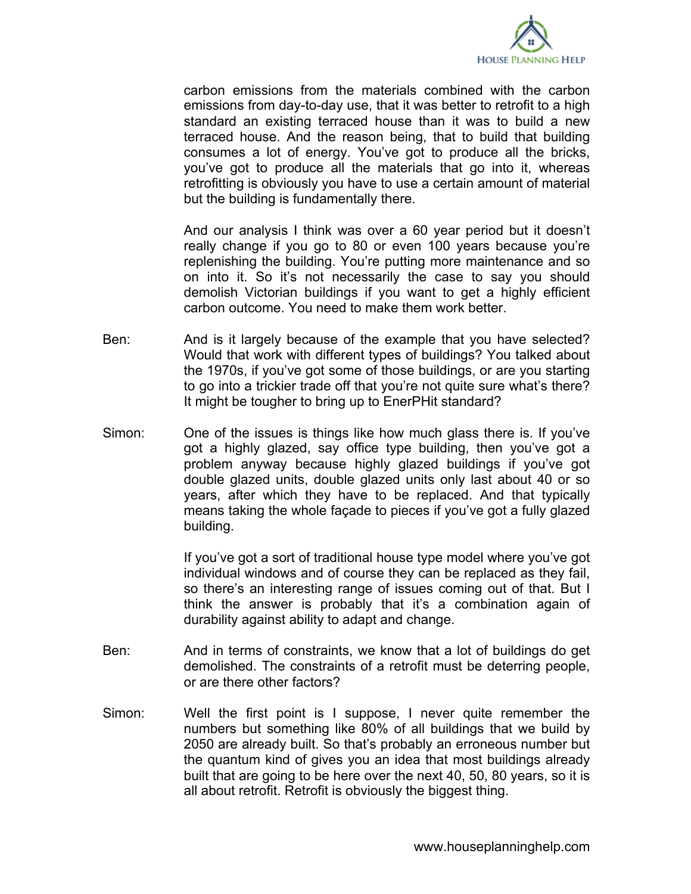

carbon emissions from the materials combined with the carbon emissions from day-to-day use, that it was better to retrofit to a high standard an existing terraced house than it was to build a new terraced house. And the reason being, that to build that building consumes a lot of energy. You've got to produce all the bricks, you've got to produce all the materials that go into it, whereas retrofitting is obviously you have to use a certain amount of material but the building is fundamentally there.

And our analysis I think was over a 60 year period but it doesn't really change if you go to 80 or even 100 years because you're replenishing the building. You're putting more maintenance and so on into it. So it's not necessarily the case to say you should demolish Victorian buildings if you want to get a highly efficient carbon outcome. You need to make them work better.

- Ben: And is it largely because of the example that you have selected? Would that work with different types of buildings? You talked about the 1970s, if you've got some of those buildings, or are you starting to go into a trickier trade off that you're not quite sure what's there? It might be tougher to bring up to EnerPHit standard?
- Simon: One of the issues is things like how much glass there is. If you've got a highly glazed, say office type building, then you've got a problem anyway because highly glazed buildings if you've got double glazed units, double glazed units only last about 40 or so years, after which they have to be replaced. And that typically means taking the whole façade to pieces if you've got a fully glazed building.

If you've got a sort of traditional house type model where you've got individual windows and of course they can be replaced as they fail, so there's an interesting range of issues coming out of that. But I think the answer is probably that it's a combination again of durability against ability to adapt and change.

- Ben: And in terms of constraints, we know that a lot of buildings do get demolished. The constraints of a retrofit must be deterring people, or are there other factors?
- Simon: Well the first point is I suppose, I never quite remember the numbers but something like 80% of all buildings that we build by 2050 are already built. So that's probably an erroneous number but the quantum kind of gives you an idea that most buildings already built that are going to be here over the next 40, 50, 80 years, so it is all about retrofit. Retrofit is obviously the biggest thing.